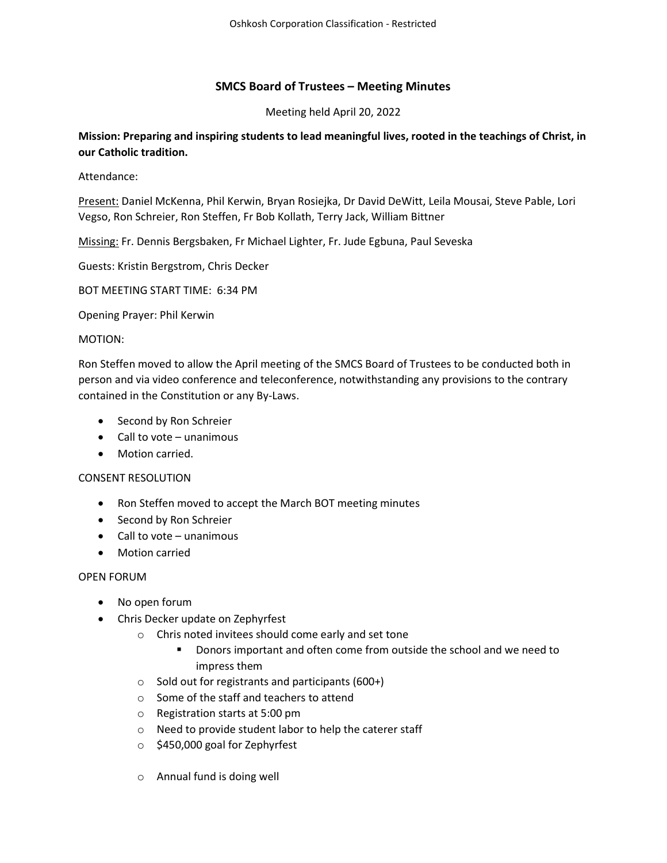# SMCS Board of Trustees – Meeting Minutes

Meeting held April 20, 2022

Mission: Preparing and inspiring students to lead meaningful lives, rooted in the teachings of Christ, in our Catholic tradition.

Attendance:

Present: Daniel McKenna, Phil Kerwin, Bryan Rosiejka, Dr David DeWitt, Leila Mousai, Steve Pable, Lori Vegso, Ron Schreier, Ron Steffen, Fr Bob Kollath, Terry Jack, William Bittner

Missing: Fr. Dennis Bergsbaken, Fr Michael Lighter, Fr. Jude Egbuna, Paul Seveska

Guests: Kristin Bergstrom, Chris Decker

BOT MEETING START TIME: 6:34 PM

Opening Prayer: Phil Kerwin

# MOTION:

Ron Steffen moved to allow the April meeting of the SMCS Board of Trustees to be conducted both in person and via video conference and teleconference, notwithstanding any provisions to the contrary contained in the Constitution or any By-Laws.

- Second by Ron Schreier
- $\bullet$  Call to vote unanimous
- Motion carried.

# CONSENT RESOLUTION

- Ron Steffen moved to accept the March BOT meeting minutes
- Second by Ron Schreier
- Call to vote unanimous
- Motion carried

# OPEN FORUM

- No open forum
- Chris Decker update on Zephyrfest
	- o Chris noted invitees should come early and set tone
		- Donors important and often come from outside the school and we need to impress them
	- o Sold out for registrants and participants (600+)
	- o Some of the staff and teachers to attend
	- o Registration starts at 5:00 pm
	- o Need to provide student labor to help the caterer staff
	- o \$450,000 goal for Zephyrfest
	- o Annual fund is doing well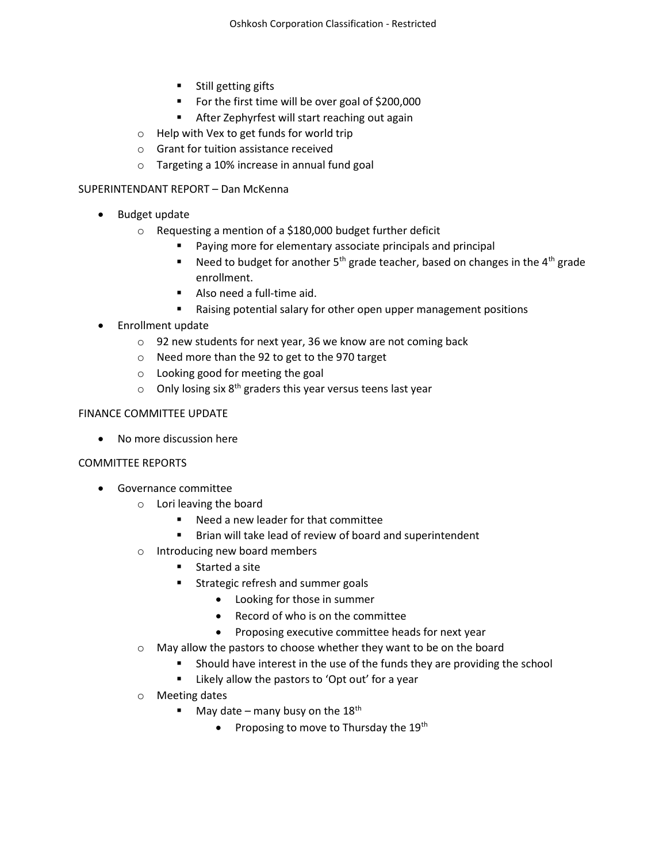- **Still getting gifts**
- For the first time will be over goal of \$200,000
- **After Zephyrfest will start reaching out again**
- o Help with Vex to get funds for world trip
- o Grant for tuition assistance received
- o Targeting a 10% increase in annual fund goal

#### SUPERINTENDANT REPORT – Dan McKenna

- Budget update
	- o Requesting a mention of a \$180,000 budget further deficit
		- Paying more for elementary associate principals and principal
		- Need to budget for another  $5<sup>th</sup>$  grade teacher, based on changes in the 4<sup>th</sup> grade enrollment.
		- Also need a full-time aid.
		- Raising potential salary for other open upper management positions
- Enrollment update
	- o 92 new students for next year, 36 we know are not coming back
	- o Need more than the 92 to get to the 970 target
	- o Looking good for meeting the goal
	- $\circ$  Only losing six 8<sup>th</sup> graders this year versus teens last year

# FINANCE COMMITTEE UPDATE

No more discussion here

# COMMITTEE REPORTS

- Governance committee
	- o Lori leaving the board
		- Need a new leader for that committee
		- **Brian will take lead of review of board and superintendent**
	- o Introducing new board members
		- **EXECUTE:** Started a site
		- **Strategic refresh and summer goals** 
			- Looking for those in summer
			- Record of who is on the committee
			- Proposing executive committee heads for next year
	- o May allow the pastors to choose whether they want to be on the board
		- **Should have interest in the use of the funds they are providing the school**
		- **EXTER** Likely allow the pastors to 'Opt out' for a year
	- o Meeting dates
		- May date many busy on the  $18<sup>th</sup>$ 
			- Proposing to move to Thursday the 19<sup>th</sup>